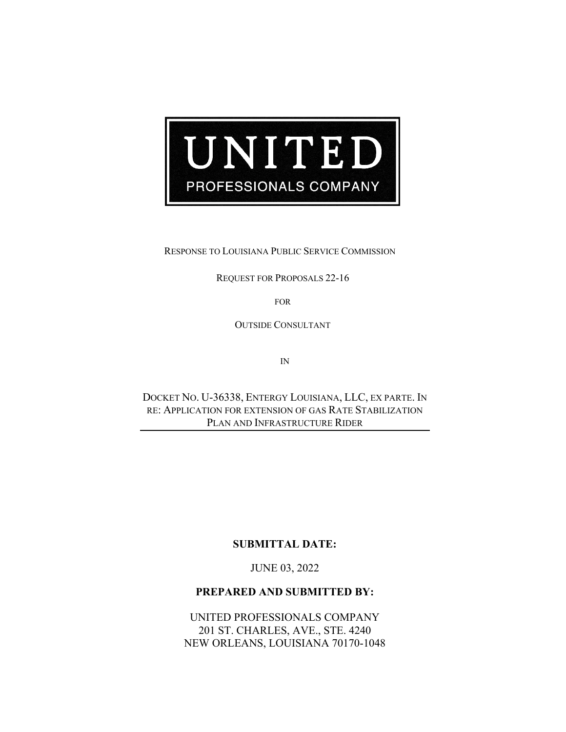

RESPONSE TO LOUISIANA PUBLIC SERVICE COMMISSION

REQUEST FOR PROPOSALS 22-16

FOR

OUTSIDE CONSULTANT

IN

DOCKET NO. U-36338, ENTERGY LOUISIANA, LLC, EX PARTE. IN RE: APPLICATION FOR EXTENSION OF GAS RATE STABILIZATION PLAN AND INFRASTRUCTURE RIDER

#### **SUBMITTAL DATE:**

JUNE 03, 2022

### **PREPARED AND SUBMITTED BY:**

UNITED PROFESSIONALS COMPANY 201 ST. CHARLES, AVE., STE. 4240 NEW ORLEANS, LOUISIANA 70170-1048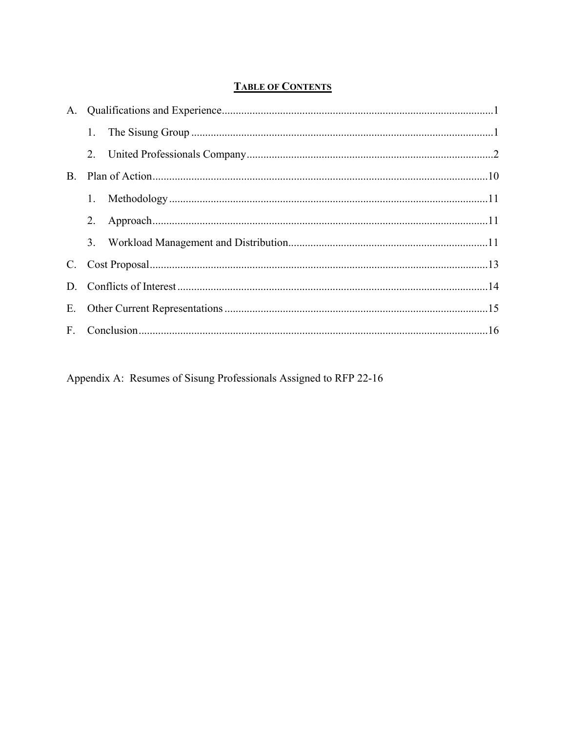# **TABLE OF CONTENTS**

| 1. |  |  |
|----|--|--|
|    |  |  |
|    |  |  |
|    |  |  |
|    |  |  |
|    |  |  |
|    |  |  |
|    |  |  |
|    |  |  |
|    |  |  |

Appendix A: Resumes of Sisung Professionals Assigned to RFP 22-16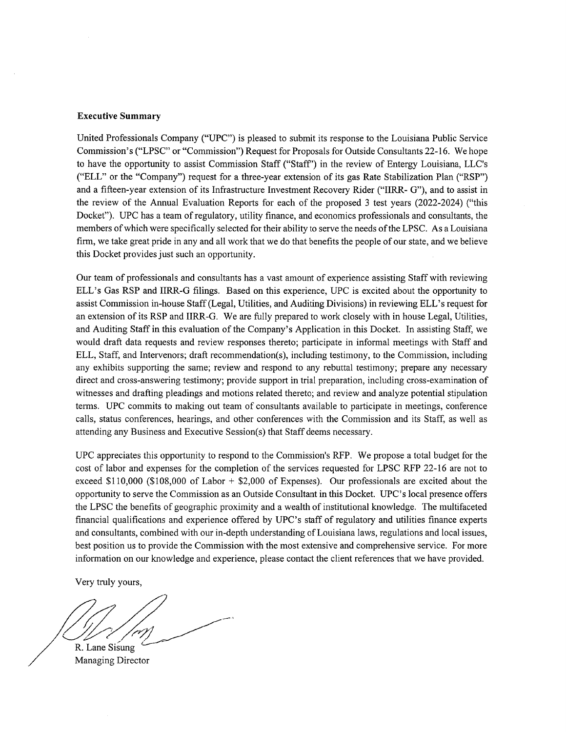#### **Executive Summary**

United Professionals Company ("UPC") is pleased to submit its response to the Louisiana Public Service Commission's ("LPSC" or "Commission") Request for Proposals for Outside Consultants 22-16. We hope to have the opportunity to assist Commission Staff ("Staff") in the review of Entergy Louisiana, LLC's ("ELL" or the "Company") request for a three-year extension of its gas Rate Stabilization Plan ("RSP") and a fifteen-year extension of its Infrastructure Investment Recovery Rider ("IIRR- G"), and to assist in the review of the Annual Evaluation Reports for each of the proposed 3 test years (2022-2024) ("this Docket"). UPC has a team of regulatory, utility finance, and economics professionals and consultants, the members of which were specifically selected for their ability to serve the needs of the LPSC. As a Louisiana firm, we take great pride in any and all work that we do that benefits the people of our state, and we believe this Docket provides just such an opportunity.

Our team of professionals and consultants has a vast amount of experience assisting Staff with reviewing ELL's Gas RSP and IIRR-G filings. Based on this experience, UPC is excited about the opportunity to assist Commission in-house Staff (Legal, Utilities, and Auditing Divisions) in reviewing ELL's request for an extension of its RSP and IIRR-G. We are fully prepared to work closely with in house Legal, Utilities, and Auditing Staff in this evaluation of the Company's Application in this Docket. In assisting Staff, we would draft data requests and review responses thereto; participate in informal meetings with Staff and ELL, Staff, and Intervenors; draft recommendation(s), including testimony, to the Commission, including any exhibits supporting the same; review and respond to any rebuttal testimony; prepare any necessary direct and cross-answering testimony; provide support in trial preparation, including cross-examination of witnesses and drafting pleadings and motions related thereto; and review and analyze potential stipulation terms. UPC commits to making out team of consultants available to participate in meetings, conference calls, status conferences, hearings, and other conferences with the Commission and its Staff, as well as attending any Business and Executive Session(s) that Staff deems necessary.

UPC appreciates this opportunity to respond to the Commission's RFP. We propose a total budget for the cost of labor and expenses for the completion of the services requested for LPSC RFP 22-16 are not to exceed \$110,000 (\$108,000 of Labor  $+$  \$2,000 of Expenses). Our professionals are excited about the opportunity to serve the Commission as an Outside Consultant in this Docket. UPC's local presence offers the LPSC the benefits of geographic proximity and a wealth of institutional knowledge. The multifaceted financial qualifications and experience offered by UPC's staff of regulatory and utilities finance experts and consultants, combined with our in-depth understanding of Louisiana laws, regulations and local issues, best position us to provide the Commission with the most extensive and comprehensive service. For more information on our knowledge and experience, please contact the client references that we have provided.

Very truly yours,

R. Lane Sisung Managing Director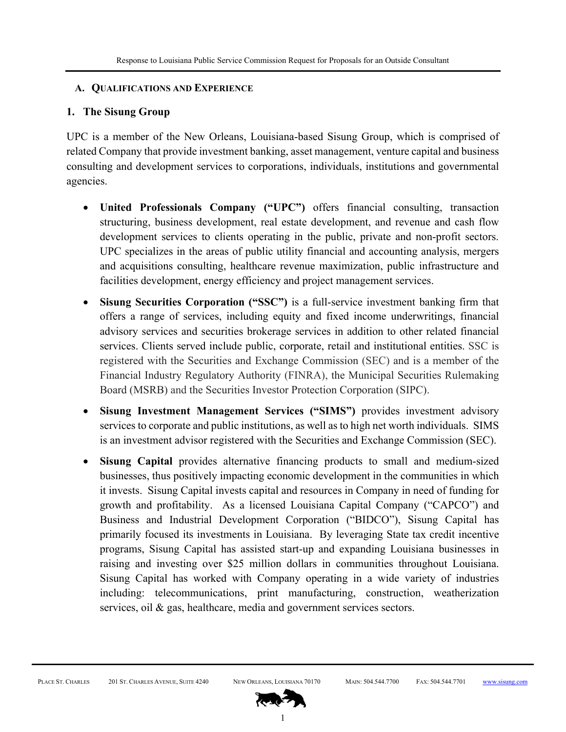### **A. QUALIFICATIONS AND EXPERIENCE**

# **1. The Sisung Group**

UPC is a member of the New Orleans, Louisiana-based Sisung Group, which is comprised of related Company that provide investment banking, asset management, venture capital and business consulting and development services to corporations, individuals, institutions and governmental agencies.

- **United Professionals Company ("UPC")** offers financial consulting, transaction structuring, business development, real estate development, and revenue and cash flow development services to clients operating in the public, private and non-profit sectors. UPC specializes in the areas of public utility financial and accounting analysis, mergers and acquisitions consulting, healthcare revenue maximization, public infrastructure and facilities development, energy efficiency and project management services.
- **Sisung Securities Corporation ("SSC")** is a full-service investment banking firm that offers a range of services, including equity and fixed income underwritings, financial advisory services and securities brokerage services in addition to other related financial services. Clients served include public, corporate, retail and institutional entities. SSC is registered with the Securities and Exchange Commission (SEC) and is a member of the Financial Industry Regulatory Authority (FINRA), the Municipal Securities Rulemaking Board (MSRB) and the Securities Investor Protection Corporation (SIPC).
- **Sisung Investment Management Services ("SIMS")** provides investment advisory services to corporate and public institutions, as well as to high net worth individuals. SIMS is an investment advisor registered with the Securities and Exchange Commission (SEC).
- **Sisung Capital** provides alternative financing products to small and medium-sized businesses, thus positively impacting economic development in the communities in which it invests. Sisung Capital invests capital and resources in Company in need of funding for growth and profitability. As a licensed Louisiana Capital Company ("CAPCO") and Business and Industrial Development Corporation ("BIDCO"), Sisung Capital has primarily focused its investments in Louisiana. By leveraging State tax credit incentive programs, Sisung Capital has assisted start-up and expanding Louisiana businesses in raising and investing over \$25 million dollars in communities throughout Louisiana. Sisung Capital has worked with Company operating in a wide variety of industries including: telecommunications, print manufacturing, construction, weatherization services, oil & gas, healthcare, media and government services sectors.

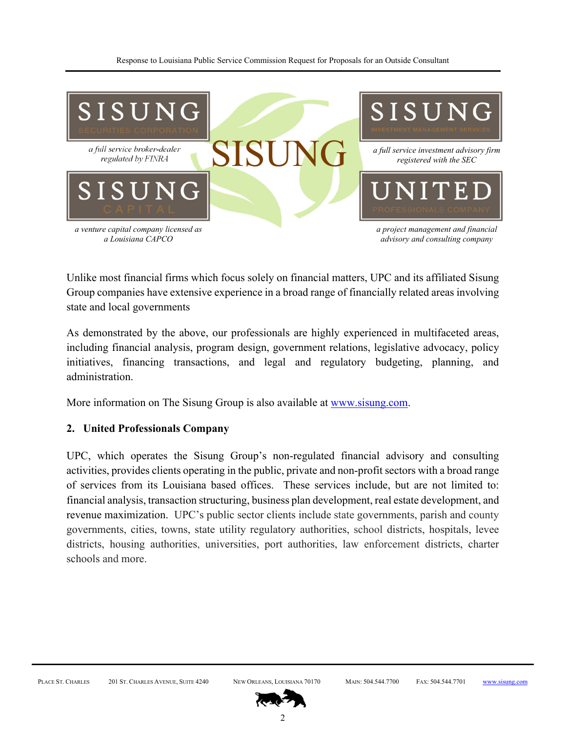

Unlike most financial firms which focus solely on financial matters, UPC and its affiliated Sisung Group companies have extensive experience in a broad range of financially related areas involving state and local governments

As demonstrated by the above, our professionals are highly experienced in multifaceted areas, including financial analysis, program design, government relations, legislative advocacy, policy initiatives, financing transactions, and legal and regulatory budgeting, planning, and administration.

More information on The Sisung Group is also available at www.sisung.com.

## **2. United Professionals Company**

UPC, which operates the Sisung Group's non-regulated financial advisory and consulting activities, provides clients operating in the public, private and non-profit sectors with a broad range of services from its Louisiana based offices. These services include, but are not limited to: financial analysis, transaction structuring, business plan development, real estate development, and revenue maximization. UPC's public sector clients include state governments, parish and county governments, cities, towns, state utility regulatory authorities, school districts, hospitals, levee districts, housing authorities, universities, port authorities, law enforcement districts, charter schools and more.

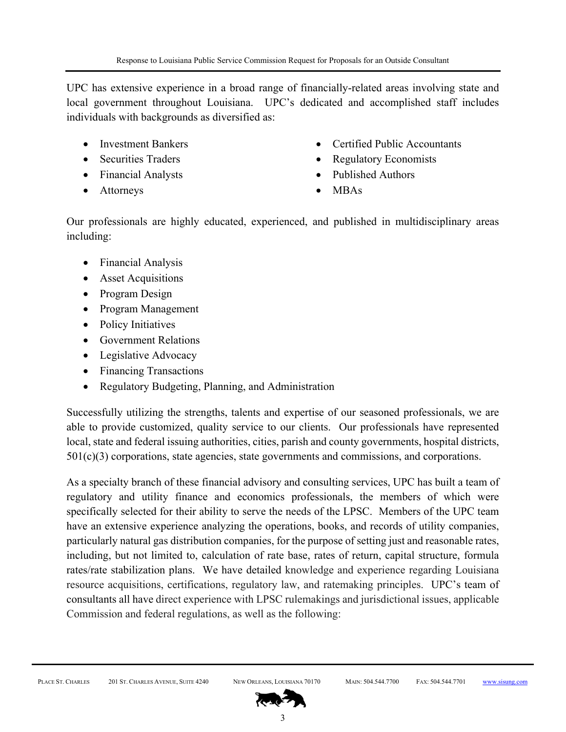UPC has extensive experience in a broad range of financially-related areas involving state and local government throughout Louisiana. UPC's dedicated and accomplished staff includes individuals with backgrounds as diversified as:

- Investment Bankers
- Securities Traders
- Financial Analysts
- Attorneys
- Certified Public Accountants
- Regulatory Economists
- Published Authors
- MBAs

Our professionals are highly educated, experienced, and published in multidisciplinary areas including:

- Financial Analysis
- Asset Acquisitions
- Program Design
- Program Management
- Policy Initiatives
- Government Relations
- Legislative Advocacy
- Financing Transactions
- Regulatory Budgeting, Planning, and Administration

Successfully utilizing the strengths, talents and expertise of our seasoned professionals, we are able to provide customized, quality service to our clients. Our professionals have represented local, state and federal issuing authorities, cities, parish and county governments, hospital districts, 501(c)(3) corporations, state agencies, state governments and commissions, and corporations.

As a specialty branch of these financial advisory and consulting services, UPC has built a team of regulatory and utility finance and economics professionals, the members of which were specifically selected for their ability to serve the needs of the LPSC. Members of the UPC team have an extensive experience analyzing the operations, books, and records of utility companies, particularly natural gas distribution companies, for the purpose of setting just and reasonable rates, including, but not limited to, calculation of rate base, rates of return, capital structure, formula rates/rate stabilization plans. We have detailed knowledge and experience regarding Louisiana resource acquisitions, certifications, regulatory law, and ratemaking principles. UPC's team of consultants all have direct experience with LPSC rulemakings and jurisdictional issues, applicable Commission and federal regulations, as well as the following:

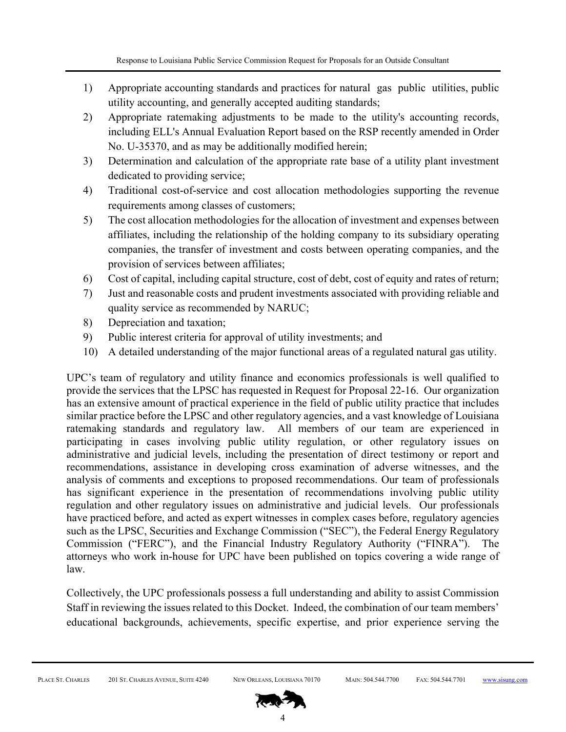- 1) Appropriate accounting standards and practices for natural gas public utilities, public utility accounting, and generally accepted auditing standards;
- 2) Appropriate ratemaking adjustments to be made to the utility's accounting records, including ELL's Annual Evaluation Report based on the RSP recently amended in Order No. U-35370, and as may be additionally modified herein;
- 3) Determination and calculation of the appropriate rate base of a utility plant investment dedicated to providing service;
- 4) Traditional cost-of-service and cost allocation methodologies supporting the revenue requirements among classes of customers;
- 5) The cost allocation methodologies for the allocation of investment and expenses between affiliates, including the relationship of the holding company to its subsidiary operating companies, the transfer of investment and costs between operating companies, and the provision of services between affiliates;
- 6) Cost of capital, including capital structure, cost of debt, cost of equity and rates of return;
- 7) Just and reasonable costs and prudent investments associated with providing reliable and quality service as recommended by NARUC;
- 8) Depreciation and taxation;
- 9) Public interest criteria for approval of utility investments; and
- 10) A detailed understanding of the major functional areas of a regulated natural gas utility.

UPC's team of regulatory and utility finance and economics professionals is well qualified to provide the services that the LPSC has requested in Request for Proposal 22-16. Our organization has an extensive amount of practical experience in the field of public utility practice that includes similar practice before the LPSC and other regulatory agencies, and a vast knowledge of Louisiana ratemaking standards and regulatory law. All members of our team are experienced in participating in cases involving public utility regulation, or other regulatory issues on administrative and judicial levels, including the presentation of direct testimony or report and recommendations, assistance in developing cross examination of adverse witnesses, and the analysis of comments and exceptions to proposed recommendations. Our team of professionals has significant experience in the presentation of recommendations involving public utility regulation and other regulatory issues on administrative and judicial levels. Our professionals have practiced before, and acted as expert witnesses in complex cases before, regulatory agencies such as the LPSC, Securities and Exchange Commission ("SEC"), the Federal Energy Regulatory Commission ("FERC"), and the Financial Industry Regulatory Authority ("FINRA"). The attorneys who work in-house for UPC have been published on topics covering a wide range of law.

Collectively, the UPC professionals possess a full understanding and ability to assist Commission Staff in reviewing the issues related to this Docket. Indeed, the combination of our team members' educational backgrounds, achievements, specific expertise, and prior experience serving the

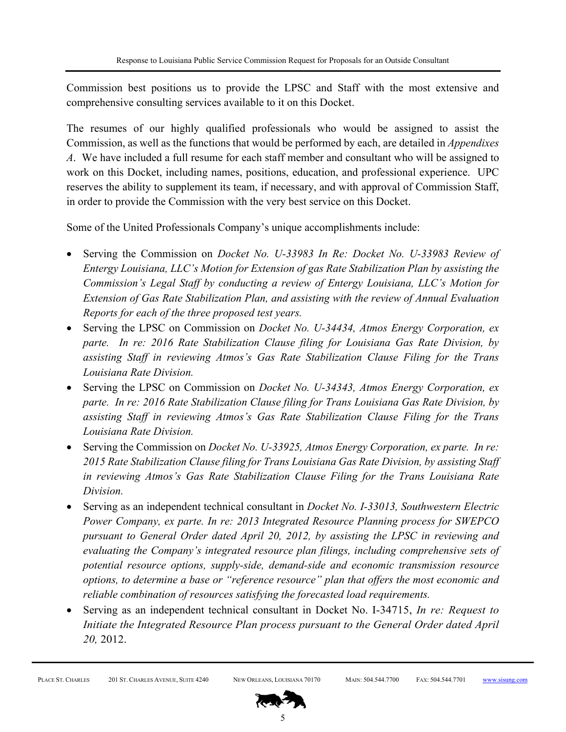Commission best positions us to provide the LPSC and Staff with the most extensive and comprehensive consulting services available to it on this Docket.

The resumes of our highly qualified professionals who would be assigned to assist the Commission, as well as the functions that would be performed by each, are detailed in *Appendixes A*. We have included a full resume for each staff member and consultant who will be assigned to work on this Docket, including names, positions, education, and professional experience. UPC reserves the ability to supplement its team, if necessary, and with approval of Commission Staff, in order to provide the Commission with the very best service on this Docket.

Some of the United Professionals Company's unique accomplishments include:

- Serving the Commission on *Docket No. U-33983 In Re: Docket No. U-33983 Review of Entergy Louisiana, LLC's Motion for Extension of gas Rate Stabilization Plan by assisting the Commission's Legal Staff by conducting a review of Entergy Louisiana, LLC's Motion for Extension of Gas Rate Stabilization Plan, and assisting with the review of Annual Evaluation Reports for each of the three proposed test years.*
- Serving the LPSC on Commission on *Docket No. U-34434, Atmos Energy Corporation, ex parte. In re: 2016 Rate Stabilization Clause filing for Louisiana Gas Rate Division, by assisting Staff in reviewing Atmos's Gas Rate Stabilization Clause Filing for the Trans Louisiana Rate Division.*
- Serving the LPSC on Commission on *Docket No. U-34343, Atmos Energy Corporation, ex parte. In re: 2016 Rate Stabilization Clause filing for Trans Louisiana Gas Rate Division, by assisting Staff in reviewing Atmos's Gas Rate Stabilization Clause Filing for the Trans Louisiana Rate Division.*
- Serving the Commission on *Docket No. U-33925, Atmos Energy Corporation, ex parte. In re: 2015 Rate Stabilization Clause filing for Trans Louisiana Gas Rate Division, by assisting Staff in reviewing Atmos's Gas Rate Stabilization Clause Filing for the Trans Louisiana Rate Division.*
- Serving as an independent technical consultant in *Docket No. I-33013, Southwestern Electric Power Company, ex parte. In re: 2013 Integrated Resource Planning process for SWEPCO pursuant to General Order dated April 20, 2012, by assisting the LPSC in reviewing and evaluating the Company's integrated resource plan filings, including comprehensive sets of potential resource options, supply-side, demand-side and economic transmission resource options, to determine a base or "reference resource" plan that offers the most economic and reliable combination of resources satisfying the forecasted load requirements.*
- Serving as an independent technical consultant in Docket No. I-34715, *In re: Request to Initiate the Integrated Resource Plan process pursuant to the General Order dated April 20,* 2012.

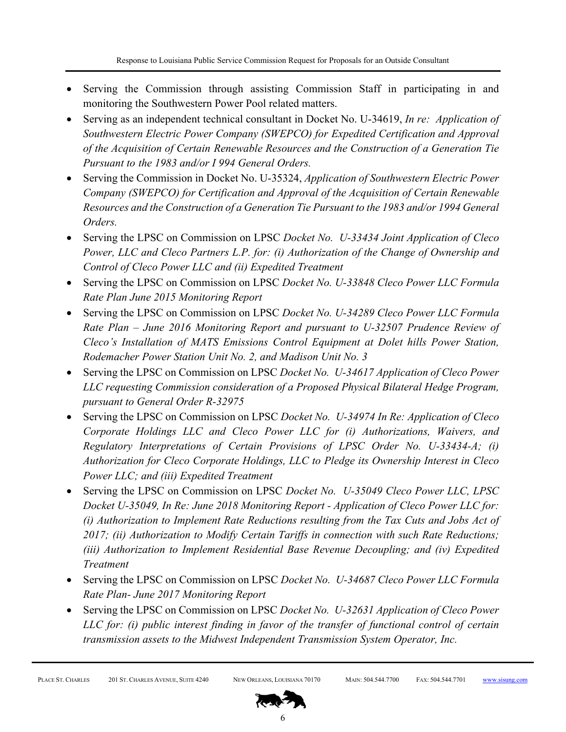- Serving the Commission through assisting Commission Staff in participating in and monitoring the Southwestern Power Pool related matters.
- Serving as an independent technical consultant in Docket No. U-34619, *In re: Application of Southwestern Electric Power Company (SWEPCO) for Expedited Certification and Approval of the Acquisition of Certain Renewable Resources and the Construction of a Generation Tie Pursuant to the 1983 and/or I 994 General Orders.*
- Serving the Commission in Docket No. U-35324, *Application of Southwestern Electric Power Company (SWEPCO) for Certification and Approval of the Acquisition of Certain Renewable Resources and the Construction of a Generation Tie Pursuant to the 1983 and/or 1994 General Orders.*
- Serving the LPSC on Commission on LPSC *Docket No. U-33434 Joint Application of Cleco Power, LLC and Cleco Partners L.P. for: (i) Authorization of the Change of Ownership and Control of Cleco Power LLC and (ii) Expedited Treatment*
- Serving the LPSC on Commission on LPSC *Docket No. U-33848 Cleco Power LLC Formula Rate Plan June 2015 Monitoring Report*
- Serving the LPSC on Commission on LPSC *Docket No. U-34289 Cleco Power LLC Formula Rate Plan – June 2016 Monitoring Report and pursuant to U-32507 Prudence Review of Cleco's Installation of MATS Emissions Control Equipment at Dolet hills Power Station, Rodemacher Power Station Unit No. 2, and Madison Unit No. 3*
- Serving the LPSC on Commission on LPSC *Docket No. U-34617 Application of Cleco Power LLC requesting Commission consideration of a Proposed Physical Bilateral Hedge Program, pursuant to General Order R-32975*
- Serving the LPSC on Commission on LPSC *Docket No. U-34974 In Re: Application of Cleco Corporate Holdings LLC and Cleco Power LLC for (i) Authorizations, Waivers, and Regulatory Interpretations of Certain Provisions of LPSC Order No. U-33434-A; (i) Authorization for Cleco Corporate Holdings, LLC to Pledge its Ownership Interest in Cleco Power LLC; and (iii) Expedited Treatment*
- Serving the LPSC on Commission on LPSC *Docket No. U-35049 Cleco Power LLC, LPSC Docket U-35049, In Re: June 2018 Monitoring Report - Application of Cleco Power LLC for: (i) Authorization to Implement Rate Reductions resulting from the Tax Cuts and Jobs Act of 2017; (ii) Authorization to Modify Certain Tariffs in connection with such Rate Reductions; (iii) Authorization to Implement Residential Base Revenue Decoupling; and (iv) Expedited Treatment*
- Serving the LPSC on Commission on LPSC *Docket No. U-34687 Cleco Power LLC Formula Rate Plan- June 2017 Monitoring Report*
- Serving the LPSC on Commission on LPSC *Docket No. U-32631 Application of Cleco Power LLC for: (i) public interest finding in favor of the transfer of functional control of certain transmission assets to the Midwest Independent Transmission System Operator, Inc.*

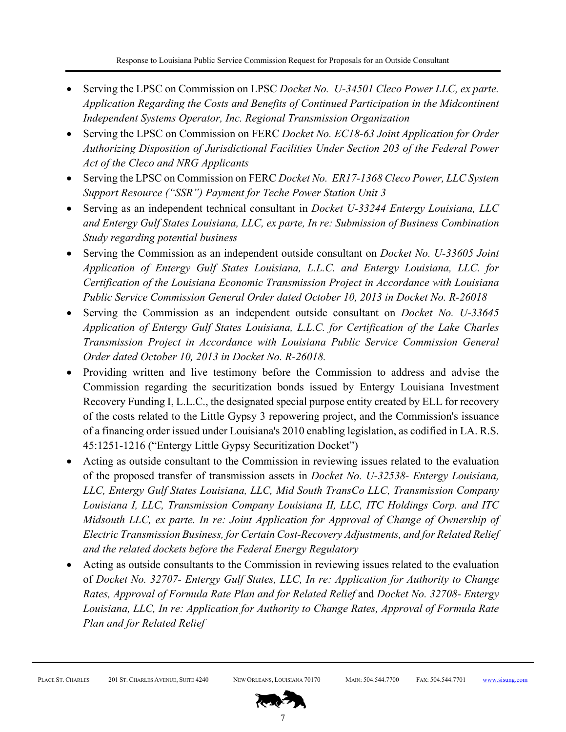- Serving the LPSC on Commission on LPSC *Docket No. U-34501 Cleco Power LLC, ex parte. Application Regarding the Costs and Benefits of Continued Participation in the Midcontinent Independent Systems Operator, Inc. Regional Transmission Organization*
- Serving the LPSC on Commission on FERC *Docket No. EC18-63 Joint Application for Order Authorizing Disposition of Jurisdictional Facilities Under Section 203 of the Federal Power Act of the Cleco and NRG Applicants*
- Serving the LPSC on Commission on FERC *Docket No. ER17-1368 Cleco Power, LLC System Support Resource ("SSR") Payment for Teche Power Station Unit 3*
- Serving as an independent technical consultant in *Docket U-33244 Entergy Louisiana, LLC and Entergy Gulf States Louisiana, LLC, ex parte, In re: Submission of Business Combination Study regarding potential business*
- Serving the Commission as an independent outside consultant on *Docket No. U-33605 Joint Application of Entergy Gulf States Louisiana, L.L.C. and Entergy Louisiana, LLC. for Certification of the Louisiana Economic Transmission Project in Accordance with Louisiana Public Service Commission General Order dated October 10, 2013 in Docket No. R-26018*
- Serving the Commission as an independent outside consultant on *Docket No. U-33645 Application of Entergy Gulf States Louisiana, L.L.C. for Certification of the Lake Charles Transmission Project in Accordance with Louisiana Public Service Commission General Order dated October 10, 2013 in Docket No. R-26018.*
- Providing written and live testimony before the Commission to address and advise the Commission regarding the securitization bonds issued by Entergy Louisiana Investment Recovery Funding I, L.L.C., the designated special purpose entity created by ELL for recovery of the costs related to the Little Gypsy 3 repowering project, and the Commission's issuance of a financing order issued under Louisiana's 2010 enabling legislation, as codified in LA. R.S. 45:1251-1216 ("Entergy Little Gypsy Securitization Docket")
- Acting as outside consultant to the Commission in reviewing issues related to the evaluation of the proposed transfer of transmission assets in *Docket No. U-32538- Entergy Louisiana, LLC, Entergy Gulf States Louisiana, LLC, Mid South TransCo LLC, Transmission Company Louisiana I, LLC, Transmission Company Louisiana II, LLC, ITC Holdings Corp. and ITC Midsouth LLC, ex parte. In re: Joint Application for Approval of Change of Ownership of Electric Transmission Business, for Certain Cost-Recovery Adjustments, and for Related Relief and the related dockets before the Federal Energy Regulatory*
- Acting as outside consultants to the Commission in reviewing issues related to the evaluation of *Docket No. 32707- Entergy Gulf States, LLC, In re: Application for Authority to Change Rates, Approval of Formula Rate Plan and for Related Relief* and *Docket No. 32708- Entergy Louisiana, LLC, In re: Application for Authority to Change Rates, Approval of Formula Rate Plan and for Related Relief*

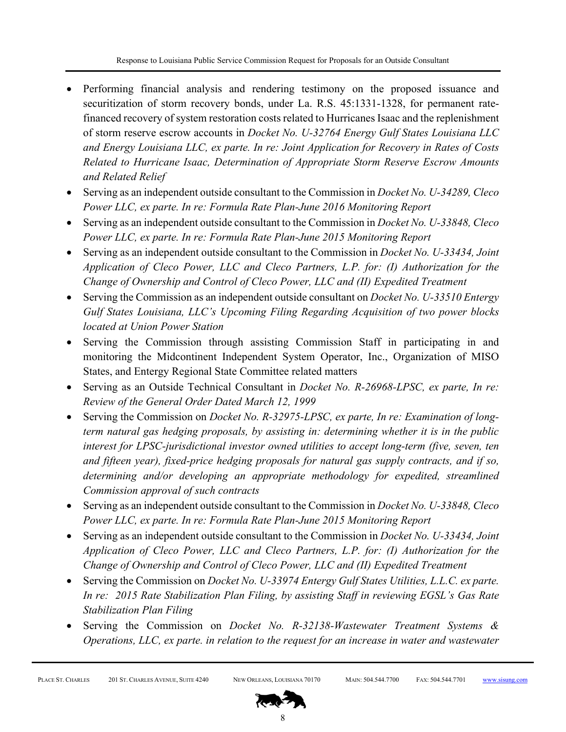- Performing financial analysis and rendering testimony on the proposed issuance and securitization of storm recovery bonds, under La. R.S. 45:1331-1328, for permanent ratefinanced recovery of system restoration costs related to Hurricanes Isaac and the replenishment of storm reserve escrow accounts in *Docket No. U-32764 Energy Gulf States Louisiana LLC and Energy Louisiana LLC, ex parte. In re: Joint Application for Recovery in Rates of Costs Related to Hurricane Isaac, Determination of Appropriate Storm Reserve Escrow Amounts and Related Relief*
- Serving as an independent outside consultant to the Commission in *Docket No. U-34289, Cleco Power LLC, ex parte. In re: Formula Rate Plan-June 2016 Monitoring Report*
- Serving as an independent outside consultant to the Commission in *Docket No. U-33848, Cleco Power LLC, ex parte. In re: Formula Rate Plan-June 2015 Monitoring Report*
- Serving as an independent outside consultant to the Commission in *Docket No. U-33434, Joint Application of Cleco Power, LLC and Cleco Partners, L.P. for: (I) Authorization for the Change of Ownership and Control of Cleco Power, LLC and (II) Expedited Treatment*
- Serving the Commission as an independent outside consultant on *Docket No. U-33510 Entergy Gulf States Louisiana, LLC's Upcoming Filing Regarding Acquisition of two power blocks located at Union Power Station*
- Serving the Commission through assisting Commission Staff in participating in and monitoring the Midcontinent Independent System Operator, Inc., Organization of MISO States, and Entergy Regional State Committee related matters
- Serving as an Outside Technical Consultant in *Docket No. R-26968-LPSC, ex parte, In re: Review of the General Order Dated March 12, 1999*
- Serving the Commission on *Docket No. R-32975-LPSC, ex parte, In re: Examination of longterm natural gas hedging proposals, by assisting in: determining whether it is in the public interest for LPSC-jurisdictional investor owned utilities to accept long-term (five, seven, ten and fifteen year), fixed-price hedging proposals for natural gas supply contracts, and if so, determining and/or developing an appropriate methodology for expedited, streamlined Commission approval of such contracts*
- Serving as an independent outside consultant to the Commission in *Docket No. U-33848, Cleco Power LLC, ex parte. In re: Formula Rate Plan-June 2015 Monitoring Report*
- Serving as an independent outside consultant to the Commission in *Docket No. U-33434, Joint Application of Cleco Power, LLC and Cleco Partners, L.P. for: (I) Authorization for the Change of Ownership and Control of Cleco Power, LLC and (II) Expedited Treatment*
- Serving the Commission on *Docket No. U-33974 Entergy Gulf States Utilities, L.L.C. ex parte. In re: 2015 Rate Stabilization Plan Filing, by assisting Staff in reviewing EGSL's Gas Rate Stabilization Plan Filing*
- Serving the Commission on *Docket No. R-32138-Wastewater Treatment Systems & Operations, LLC, ex parte. in relation to the request for an increase in water and wastewater*

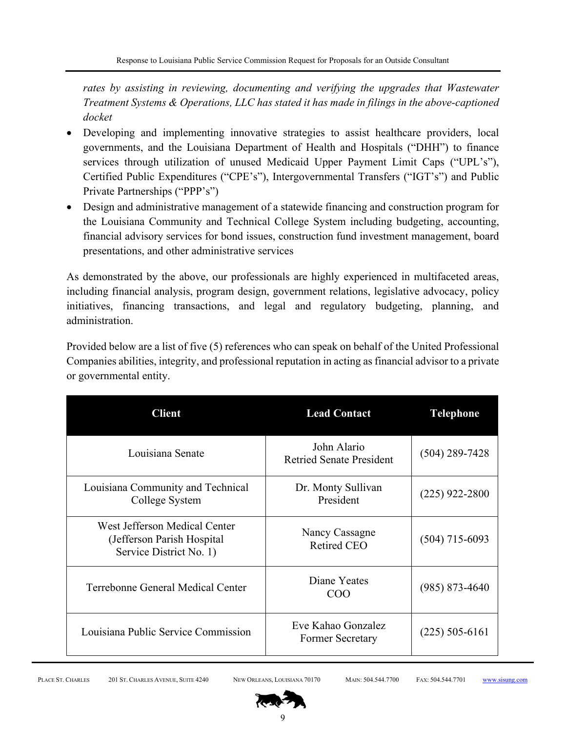*rates by assisting in reviewing, documenting and verifying the upgrades that Wastewater Treatment Systems & Operations, LLC has stated it has made in filings in the above-captioned docket* 

- Developing and implementing innovative strategies to assist healthcare providers, local governments, and the Louisiana Department of Health and Hospitals ("DHH") to finance services through utilization of unused Medicaid Upper Payment Limit Caps ("UPL's"), Certified Public Expenditures ("CPE's"), Intergovernmental Transfers ("IGT's") and Public Private Partnerships ("PPP's")
- Design and administrative management of a statewide financing and construction program for the Louisiana Community and Technical College System including budgeting, accounting, financial advisory services for bond issues, construction fund investment management, board presentations, and other administrative services

As demonstrated by the above, our professionals are highly experienced in multifaceted areas, including financial analysis, program design, government relations, legislative advocacy, policy initiatives, financing transactions, and legal and regulatory budgeting, planning, and administration.

Provided below are a list of five (5) references who can speak on behalf of the United Professional Companies abilities, integrity, and professional reputation in acting as financial advisor to a private or governmental entity.

| <b>Client</b>                                                                          | <b>Lead Contact</b>                           | <b>Telephone</b>   |
|----------------------------------------------------------------------------------------|-----------------------------------------------|--------------------|
| Louisiana Senate                                                                       | John Alario<br>Retried Senate President       | $(504)$ 289-7428   |
| Louisiana Community and Technical<br>College System                                    | Dr. Monty Sullivan<br>President               | $(225)$ 922-2800   |
| West Jefferson Medical Center<br>(Jefferson Parish Hospital<br>Service District No. 1) | Nancy Cassagne<br><b>Retired CEO</b>          | $(504)$ 715-6093   |
| Terrebonne General Medical Center                                                      | Diane Yeates<br><b>COO</b>                    | $(985) 873 - 4640$ |
| Louisiana Public Service Commission                                                    | Eve Kahao Gonzalez<br><b>Former Secretary</b> | $(225)$ 505-6161   |

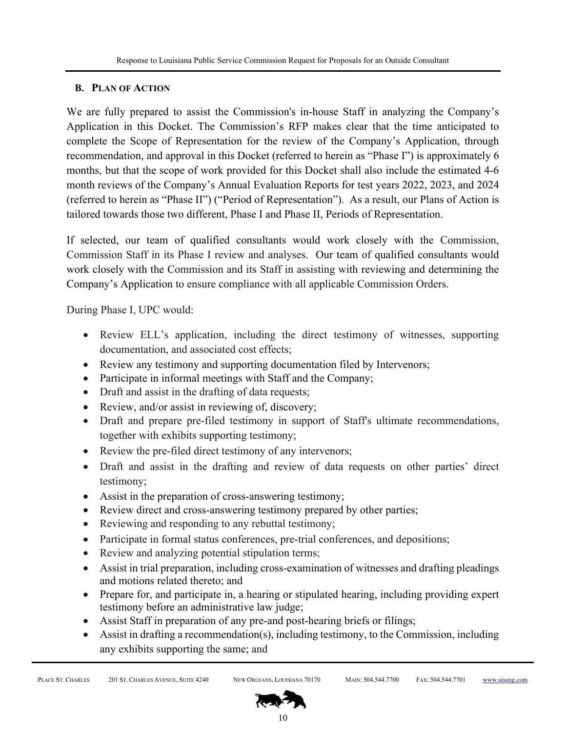# **B. PLAN OF ACTION**

We are fully prepared to assist the Commission's in-house Staff in analyzing the Company's Application in this Docket. The Commission's RFP makes clear that the time anticipated to complete the Scope of Representation for the review of the Company's Application, through recommendation, and approval in this Docket (referred to herein as "Phase I") is approximately 6 months, but that the scope of work provided for this Docket shall also include the estimated 4-6 month reviews of the Company's Annual Evaluation Reports for test years 2022, 2023, and 2024 (referred to herein as "Phase II") ("Period of Representation"). As a result, our Plans of Action is tailored towards those two different, Phase I and Phase II, Periods of Representation.

If selected, our team of qualified consultants would work closely with the Commission, Commission Staff in its Phase I review and analyses. Our team of qualified consultants would work closely with the Commission and its Staff in assisting with reviewing and determining the Company's Application to ensure compliance with all applicable Commission Orders.

During Phase I, UPC would:

- Review ELL's application, including the direct testimony of witnesses, supporting documentation, and associated cost effects;
- Review any testimony and supporting documentation filed by Intervenors;
- Participate in informal meetings with Staff and the Company;
- Draft and assist in the drafting of data requests;
- Review, and/or assist in reviewing of, discovery;
- Draft and prepare pre-filed testimony in support of Staff's ultimate recommendations, together with exhibits supporting testimony;
- Review the pre-filed direct testimony of any intervenors;
- Draft and assist in the drafting and review of data requests on other parties' direct testimony;
- Assist in the preparation of cross-answering testimony;
- Review direct and cross-answering testimony prepared by other parties;
- Reviewing and responding to any rebuttal testimony;
- Participate in formal status conferences, pre-trial conferences, and depositions;
- Review and analyzing potential stipulation terms;
- Assist in trial preparation, including cross-examination of witnesses and drafting pleadings and motions related thereto; and
- Prepare for, and participate in, a hearing or stipulated hearing, including providing expert testimony before an administrative law judge;
- Assist Staff in preparation of any pre-and post-hearing briefs or filings;
- Assist in drafting a recommendation(s), including testimony, to the Commission, including any exhibits supporting the same; and

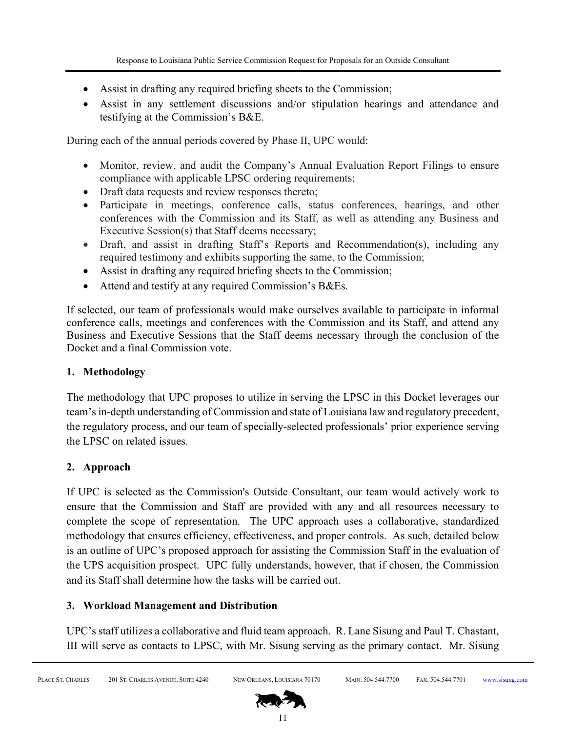- Assist in drafting any required briefing sheets to the Commission;
- Assist in any settlement discussions and/or stipulation hearings and attendance and testifying at the Commission's B&E.

During each of the annual periods covered by Phase II, UPC would:

- Monitor, review, and audit the Company's Annual Evaluation Report Filings to ensure compliance with applicable LPSC ordering requirements;
- Draft data requests and review responses thereto;
- Participate in meetings, conference calls, status conferences, hearings, and other conferences with the Commission and its Staff, as well as attending any Business and Executive Session(s) that Staff deems necessary;
- Draft, and assist in drafting Staff's Reports and Recommendation(s), including any required testimony and exhibits supporting the same, to the Commission;
- Assist in drafting any required briefing sheets to the Commission;
- Attend and testify at any required Commission's B&Es.

If selected, our team of professionals would make ourselves available to participate in informal conference calls, meetings and conferences with the Commission and its Staff, and attend any Business and Executive Sessions that the Staff deems necessary through the conclusion of the Docket and a final Commission vote.

# **1. Methodology**

The methodology that UPC proposes to utilize in serving the LPSC in this Docket leverages our team's in-depth understanding of Commission and state of Louisiana law and regulatory precedent, the regulatory process, and our team of specially-selected professionals' prior experience serving the LPSC on related issues.

# **2. Approach**

If UPC is selected as the Commission's Outside Consultant, our team would actively work to ensure that the Commission and Staff are provided with any and all resources necessary to complete the scope of representation. The UPC approach uses a collaborative, standardized methodology that ensures efficiency, effectiveness, and proper controls. As such, detailed below is an outline of UPC's proposed approach for assisting the Commission Staff in the evaluation of the UPS acquisition prospect. UPC fully understands, however, that if chosen, the Commission and its Staff shall determine how the tasks will be carried out.

# **3. Workload Management and Distribution**

UPC's staff utilizes a collaborative and fluid team approach. R. Lane Sisung and Paul T. Chastant, III will serve as contacts to LPSC, with Mr. Sisung serving as the primary contact. Mr. Sisung

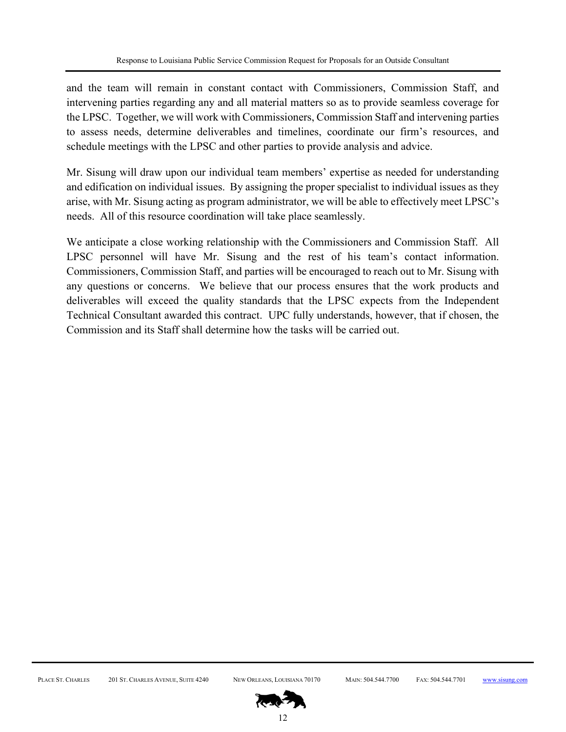and the team will remain in constant contact with Commissioners, Commission Staff, and intervening parties regarding any and all material matters so as to provide seamless coverage for the LPSC. Together, we will work with Commissioners, Commission Staff and intervening parties to assess needs, determine deliverables and timelines, coordinate our firm's resources, and schedule meetings with the LPSC and other parties to provide analysis and advice.

Mr. Sisung will draw upon our individual team members' expertise as needed for understanding and edification on individual issues. By assigning the proper specialist to individual issues as they arise, with Mr. Sisung acting as program administrator, we will be able to effectively meet LPSC's needs. All of this resource coordination will take place seamlessly.

We anticipate a close working relationship with the Commissioners and Commission Staff. All LPSC personnel will have Mr. Sisung and the rest of his team's contact information. Commissioners, Commission Staff, and parties will be encouraged to reach out to Mr. Sisung with any questions or concerns. We believe that our process ensures that the work products and deliverables will exceed the quality standards that the LPSC expects from the Independent Technical Consultant awarded this contract. UPC fully understands, however, that if chosen, the Commission and its Staff shall determine how the tasks will be carried out.

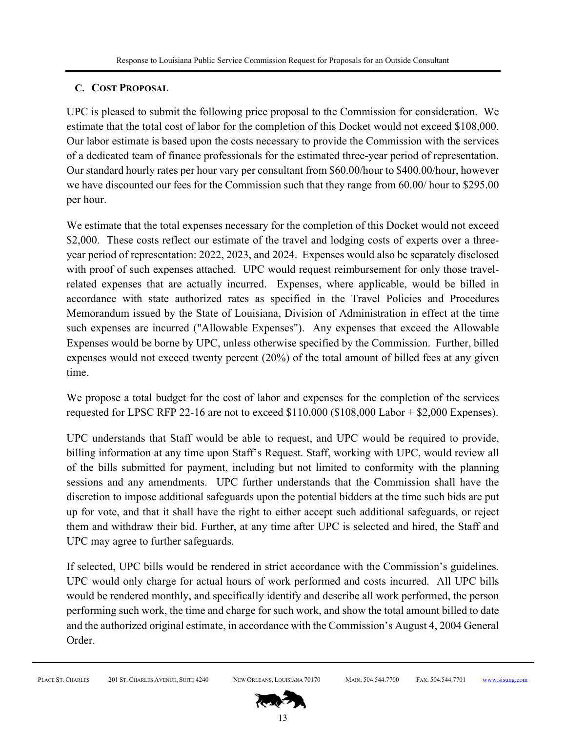# **C. COST PROPOSAL**

UPC is pleased to submit the following price proposal to the Commission for consideration. We estimate that the total cost of labor for the completion of this Docket would not exceed \$108,000. Our labor estimate is based upon the costs necessary to provide the Commission with the services of a dedicated team of finance professionals for the estimated three-year period of representation. Our standard hourly rates per hour vary per consultant from \$60.00/hour to \$400.00/hour, however we have discounted our fees for the Commission such that they range from 60.00/ hour to \$295.00 per hour.

We estimate that the total expenses necessary for the completion of this Docket would not exceed \$2,000. These costs reflect our estimate of the travel and lodging costs of experts over a threeyear period of representation: 2022, 2023, and 2024. Expenses would also be separately disclosed with proof of such expenses attached. UPC would request reimbursement for only those travelrelated expenses that are actually incurred. Expenses, where applicable, would be billed in accordance with state authorized rates as specified in the Travel Policies and Procedures Memorandum issued by the State of Louisiana, Division of Administration in effect at the time such expenses are incurred ("Allowable Expenses"). Any expenses that exceed the Allowable Expenses would be borne by UPC, unless otherwise specified by the Commission. Further, billed expenses would not exceed twenty percent (20%) of the total amount of billed fees at any given time.

We propose a total budget for the cost of labor and expenses for the completion of the services requested for LPSC RFP 22-16 are not to exceed  $$110,000$  ( $$108,000$  Labor +  $$2,000$  Expenses).

UPC understands that Staff would be able to request, and UPC would be required to provide, billing information at any time upon Staff's Request. Staff, working with UPC, would review all of the bills submitted for payment, including but not limited to conformity with the planning sessions and any amendments. UPC further understands that the Commission shall have the discretion to impose additional safeguards upon the potential bidders at the time such bids are put up for vote, and that it shall have the right to either accept such additional safeguards, or reject them and withdraw their bid. Further, at any time after UPC is selected and hired, the Staff and UPC may agree to further safeguards.

If selected, UPC bills would be rendered in strict accordance with the Commission's guidelines. UPC would only charge for actual hours of work performed and costs incurred. All UPC bills would be rendered monthly, and specifically identify and describe all work performed, the person performing such work, the time and charge for such work, and show the total amount billed to date and the authorized original estimate, in accordance with the Commission's August 4, 2004 General Order.

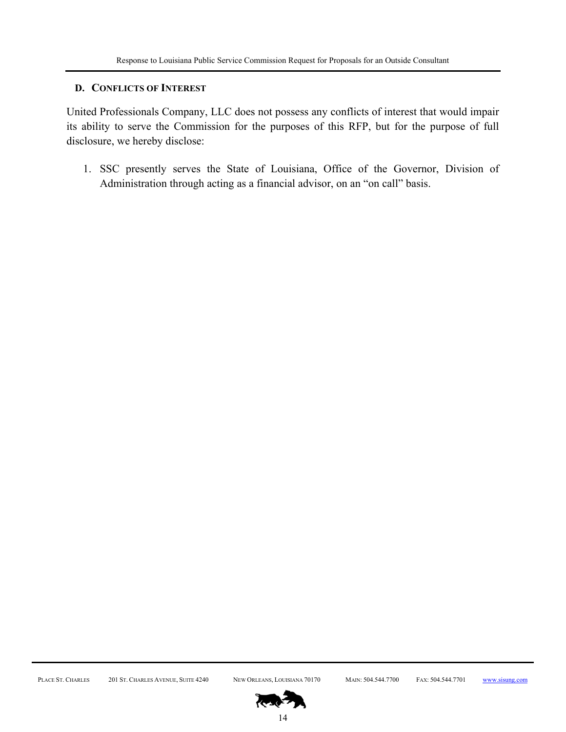### **D. CONFLICTS OF INTEREST**

United Professionals Company, LLC does not possess any conflicts of interest that would impair its ability to serve the Commission for the purposes of this RFP, but for the purpose of full disclosure, we hereby disclose:

1. SSC presently serves the State of Louisiana, Office of the Governor, Division of Administration through acting as a financial advisor, on an "on call" basis.

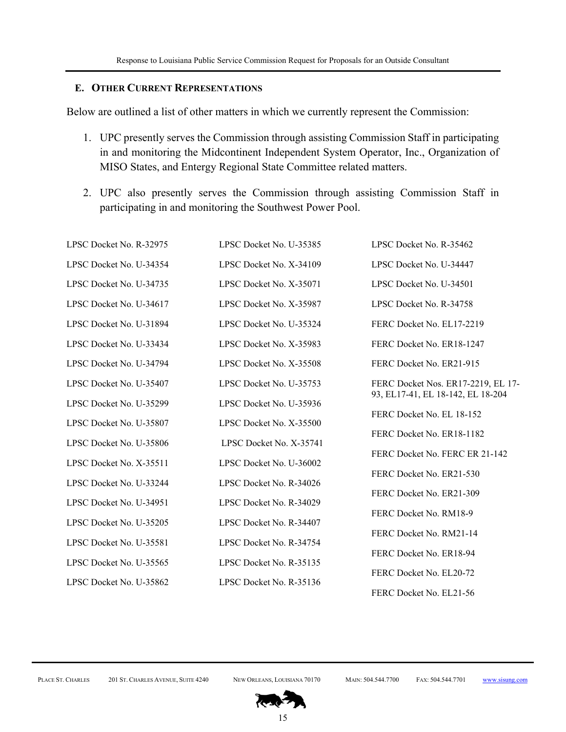#### **E. OTHER CURRENT REPRESENTATIONS**

Below are outlined a list of other matters in which we currently represent the Commission:

- 1. UPC presently serves the Commission through assisting Commission Staff in participating in and monitoring the Midcontinent Independent System Operator, Inc., Organization of MISO States, and Entergy Regional State Committee related matters.
- 2. UPC also presently serves the Commission through assisting Commission Staff in participating in and monitoring the Southwest Power Pool.

| LPSC Docket No. R-32975 | LPSC Docket No. U-35385 | LPSC Docket No. R-35462            |
|-------------------------|-------------------------|------------------------------------|
| LPSC Docket No. U-34354 | LPSC Docket No. X-34109 | LPSC Docket No. U-34447            |
| LPSC Docket No. U-34735 | LPSC Docket No. X-35071 | LPSC Docket No. U-34501            |
| LPSC Docket No. U-34617 | LPSC Docket No. X-35987 | LPSC Docket No. R-34758            |
| LPSC Docket No. U-31894 | LPSC Docket No. U-35324 | FERC Docket No. EL17-2219          |
| LPSC Docket No. U-33434 | LPSC Docket No. X-35983 | FERC Docket No. ER18-1247          |
| LPSC Docket No. U-34794 | LPSC Docket No. X-35508 | FERC Docket No. ER21-915           |
| LPSC Docket No. U-35407 | LPSC Docket No. U-35753 | FERC Docket Nos. ER17-2219, EL 17- |
| LPSC Docket No. U-35299 | LPSC Docket No. U-35936 | 93, EL17-41, EL 18-142, EL 18-204  |
| LPSC Docket No. U-35807 | LPSC Docket No. X-35500 | FERC Docket No. EL 18-152          |
| LPSC Docket No. U-35806 | LPSC Docket No. X-35741 | FERC Docket No. ER18-1182          |
| LPSC Docket No. X-35511 | LPSC Docket No. U-36002 | FERC Docket No. FERC ER 21-142     |
| LPSC Docket No. U-33244 | LPSC Docket No. R-34026 | FERC Docket No. ER21-530           |
| LPSC Docket No. U-34951 | LPSC Docket No. R-34029 | FERC Docket No. ER21-309           |
| LPSC Docket No. U-35205 | LPSC Docket No. R-34407 | FERC Docket No. RM18-9             |
| LPSC Docket No. U-35581 | LPSC Docket No. R-34754 | FERC Docket No. RM21-14            |
| LPSC Docket No. U-35565 | LPSC Docket No. R-35135 | FERC Docket No. ER18-94            |
| LPSC Docket No. U-35862 | LPSC Docket No. R-35136 | FERC Docket No. EL20-72            |
|                         |                         | FERC Docket No. EL21-56            |

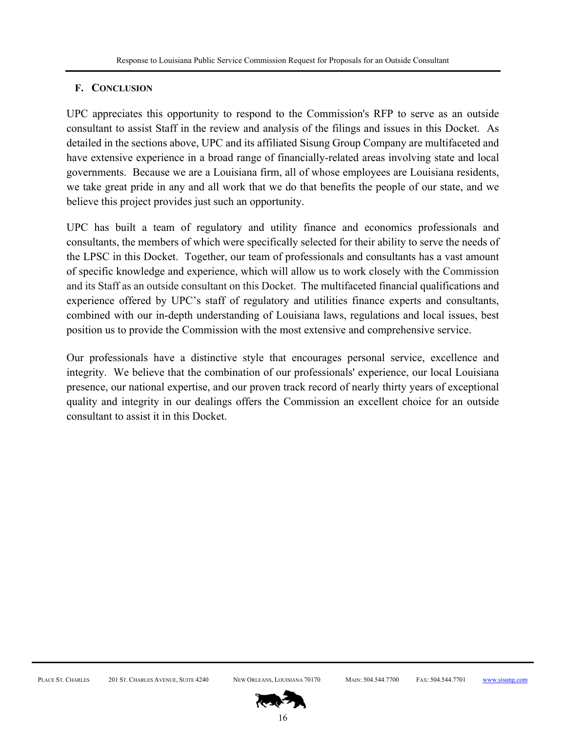# **F. CONCLUSION**

UPC appreciates this opportunity to respond to the Commission's RFP to serve as an outside consultant to assist Staff in the review and analysis of the filings and issues in this Docket. As detailed in the sections above, UPC and its affiliated Sisung Group Company are multifaceted and have extensive experience in a broad range of financially-related areas involving state and local governments. Because we are a Louisiana firm, all of whose employees are Louisiana residents, we take great pride in any and all work that we do that benefits the people of our state, and we believe this project provides just such an opportunity.

UPC has built a team of regulatory and utility finance and economics professionals and consultants, the members of which were specifically selected for their ability to serve the needs of the LPSC in this Docket. Together, our team of professionals and consultants has a vast amount of specific knowledge and experience, which will allow us to work closely with the Commission and its Staff as an outside consultant on this Docket. The multifaceted financial qualifications and experience offered by UPC's staff of regulatory and utilities finance experts and consultants, combined with our in-depth understanding of Louisiana laws, regulations and local issues, best position us to provide the Commission with the most extensive and comprehensive service.

Our professionals have a distinctive style that encourages personal service, excellence and integrity. We believe that the combination of our professionals' experience, our local Louisiana presence, our national expertise, and our proven track record of nearly thirty years of exceptional quality and integrity in our dealings offers the Commission an excellent choice for an outside consultant to assist it in this Docket.

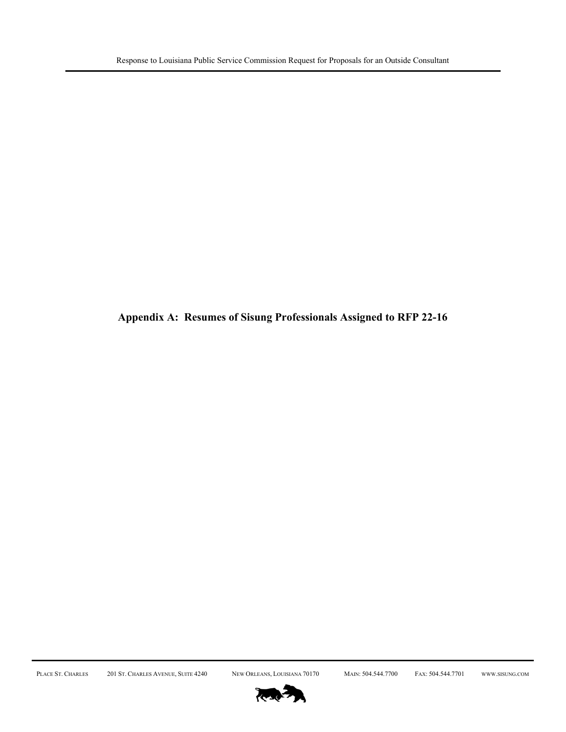**Appendix A: Resumes of Sisung Professionals Assigned to RFP 22-16** 

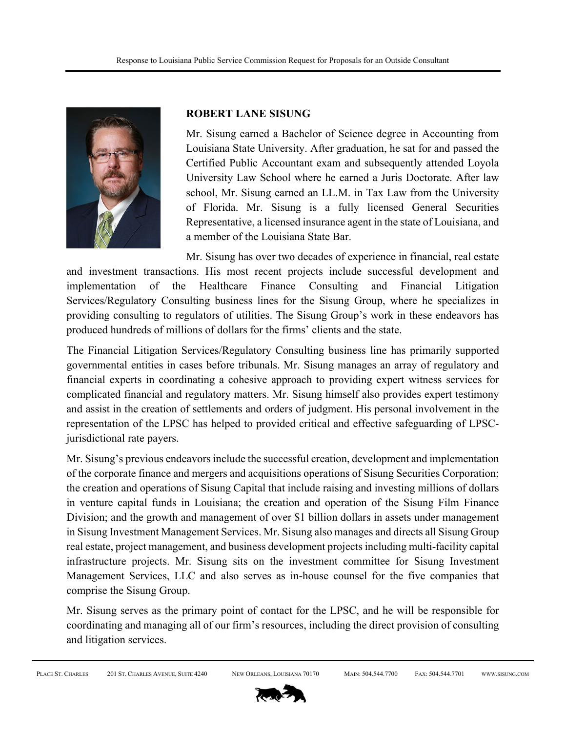

# **ROBERT LANE SISUNG**

Mr. Sisung earned a Bachelor of Science degree in Accounting from Louisiana State University. After graduation, he sat for and passed the Certified Public Accountant exam and subsequently attended Loyola University Law School where he earned a Juris Doctorate. After law school, Mr. Sisung earned an LL.M. in Tax Law from the University of Florida. Mr. Sisung is a fully licensed General Securities Representative, a licensed insurance agent in the state of Louisiana, and a member of the Louisiana State Bar.

Mr. Sisung has over two decades of experience in financial, real estate and investment transactions. His most recent projects include successful development and implementation of the Healthcare Finance Consulting and Financial Litigation Services/Regulatory Consulting business lines for the Sisung Group, where he specializes in providing consulting to regulators of utilities. The Sisung Group's work in these endeavors has produced hundreds of millions of dollars for the firms' clients and the state.

The Financial Litigation Services/Regulatory Consulting business line has primarily supported governmental entities in cases before tribunals. Mr. Sisung manages an array of regulatory and financial experts in coordinating a cohesive approach to providing expert witness services for complicated financial and regulatory matters. Mr. Sisung himself also provides expert testimony and assist in the creation of settlements and orders of judgment. His personal involvement in the representation of the LPSC has helped to provided critical and effective safeguarding of LPSCjurisdictional rate payers.

Mr. Sisung's previous endeavors include the successful creation, development and implementation of the corporate finance and mergers and acquisitions operations of Sisung Securities Corporation; the creation and operations of Sisung Capital that include raising and investing millions of dollars in venture capital funds in Louisiana; the creation and operation of the Sisung Film Finance Division; and the growth and management of over \$1 billion dollars in assets under management in Sisung Investment Management Services. Mr. Sisung also manages and directs all Sisung Group real estate, project management, and business development projects including multi-facility capital infrastructure projects. Mr. Sisung sits on the investment committee for Sisung Investment Management Services, LLC and also serves as in-house counsel for the five companies that comprise the Sisung Group.

Mr. Sisung serves as the primary point of contact for the LPSC, and he will be responsible for coordinating and managing all of our firm's resources, including the direct provision of consulting and litigation services.

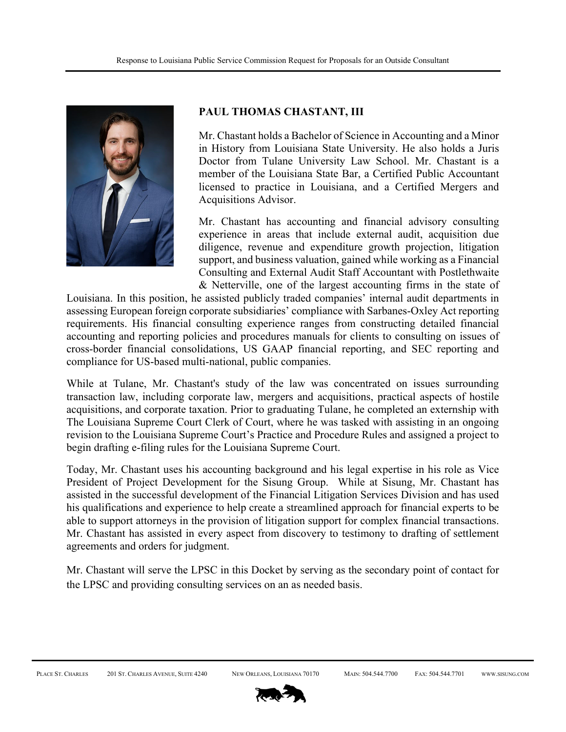

### **PAUL THOMAS CHASTANT, III**

Mr. Chastant holds a Bachelor of Science in Accounting and a Minor in History from Louisiana State University. He also holds a Juris Doctor from Tulane University Law School. Mr. Chastant is a member of the Louisiana State Bar, a Certified Public Accountant licensed to practice in Louisiana, and a Certified Mergers and Acquisitions Advisor.

Mr. Chastant has accounting and financial advisory consulting experience in areas that include external audit, acquisition due diligence, revenue and expenditure growth projection, litigation support, and business valuation, gained while working as a Financial Consulting and External Audit Staff Accountant with Postlethwaite & Netterville, one of the largest accounting firms in the state of

Louisiana. In this position, he assisted publicly traded companies' internal audit departments in assessing European foreign corporate subsidiaries' compliance with Sarbanes-Oxley Act reporting requirements. His financial consulting experience ranges from constructing detailed financial accounting and reporting policies and procedures manuals for clients to consulting on issues of cross-border financial consolidations, US GAAP financial reporting, and SEC reporting and compliance for US-based multi-national, public companies.

While at Tulane, Mr. Chastant's study of the law was concentrated on issues surrounding transaction law, including corporate law, mergers and acquisitions, practical aspects of hostile acquisitions, and corporate taxation. Prior to graduating Tulane, he completed an externship with The Louisiana Supreme Court Clerk of Court, where he was tasked with assisting in an ongoing revision to the Louisiana Supreme Court's Practice and Procedure Rules and assigned a project to begin drafting e-filing rules for the Louisiana Supreme Court.

Today, Mr. Chastant uses his accounting background and his legal expertise in his role as Vice President of Project Development for the Sisung Group. While at Sisung, Mr. Chastant has assisted in the successful development of the Financial Litigation Services Division and has used his qualifications and experience to help create a streamlined approach for financial experts to be able to support attorneys in the provision of litigation support for complex financial transactions. Mr. Chastant has assisted in every aspect from discovery to testimony to drafting of settlement agreements and orders for judgment.

Mr. Chastant will serve the LPSC in this Docket by serving as the secondary point of contact for the LPSC and providing consulting services on an as needed basis.

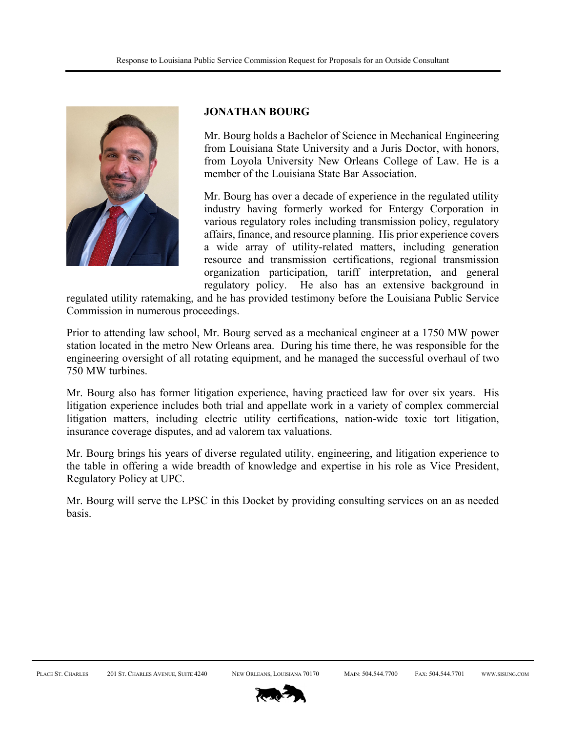

#### **JONATHAN BOURG**

Mr. Bourg holds a Bachelor of Science in Mechanical Engineering from Louisiana State University and a Juris Doctor, with honors, from Loyola University New Orleans College of Law. He is a member of the Louisiana State Bar Association.

Mr. Bourg has over a decade of experience in the regulated utility industry having formerly worked for Entergy Corporation in various regulatory roles including transmission policy, regulatory affairs, finance, and resource planning. His prior experience covers a wide array of utility-related matters, including generation resource and transmission certifications, regional transmission organization participation, tariff interpretation, and general regulatory policy. He also has an extensive background in

regulated utility ratemaking, and he has provided testimony before the Louisiana Public Service Commission in numerous proceedings.

Prior to attending law school, Mr. Bourg served as a mechanical engineer at a 1750 MW power station located in the metro New Orleans area. During his time there, he was responsible for the engineering oversight of all rotating equipment, and he managed the successful overhaul of two 750 MW turbines.

Mr. Bourg also has former litigation experience, having practiced law for over six years. His litigation experience includes both trial and appellate work in a variety of complex commercial litigation matters, including electric utility certifications, nation-wide toxic tort litigation, insurance coverage disputes, and ad valorem tax valuations.

Mr. Bourg brings his years of diverse regulated utility, engineering, and litigation experience to the table in offering a wide breadth of knowledge and expertise in his role as Vice President, Regulatory Policy at UPC.

Mr. Bourg will serve the LPSC in this Docket by providing consulting services on an as needed basis.

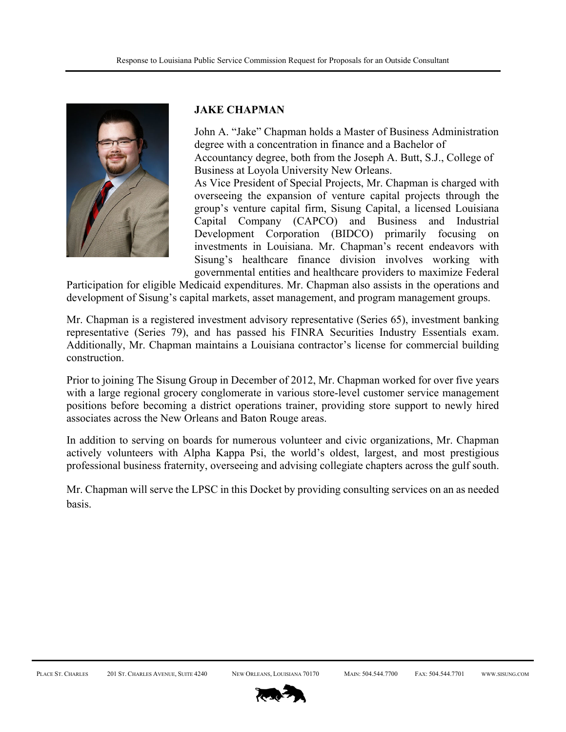

#### **JAKE CHAPMAN**

John A. "Jake" Chapman holds a Master of Business Administration degree with a concentration in finance and a Bachelor of Accountancy degree, both from the Joseph A. Butt, S.J., College of Business at Loyola University New Orleans.

As Vice President of Special Projects, Mr. Chapman is charged with overseeing the expansion of venture capital projects through the group's venture capital firm, Sisung Capital, a licensed Louisiana Capital Company (CAPCO) and Business and Industrial Development Corporation (BIDCO) primarily focusing on investments in Louisiana. Mr. Chapman's recent endeavors with Sisung's healthcare finance division involves working with governmental entities and healthcare providers to maximize Federal

Participation for eligible Medicaid expenditures. Mr. Chapman also assists in the operations and development of Sisung's capital markets, asset management, and program management groups.

Mr. Chapman is a registered investment advisory representative (Series 65), investment banking representative (Series 79), and has passed his FINRA Securities Industry Essentials exam. Additionally, Mr. Chapman maintains a Louisiana contractor's license for commercial building construction.

Prior to joining The Sisung Group in December of 2012, Mr. Chapman worked for over five years with a large regional grocery conglomerate in various store-level customer service management positions before becoming a district operations trainer, providing store support to newly hired associates across the New Orleans and Baton Rouge areas.

In addition to serving on boards for numerous volunteer and civic organizations, Mr. Chapman actively volunteers with Alpha Kappa Psi, the world's oldest, largest, and most prestigious professional business fraternity, overseeing and advising collegiate chapters across the gulf south.

Mr. Chapman will serve the LPSC in this Docket by providing consulting services on an as needed basis.

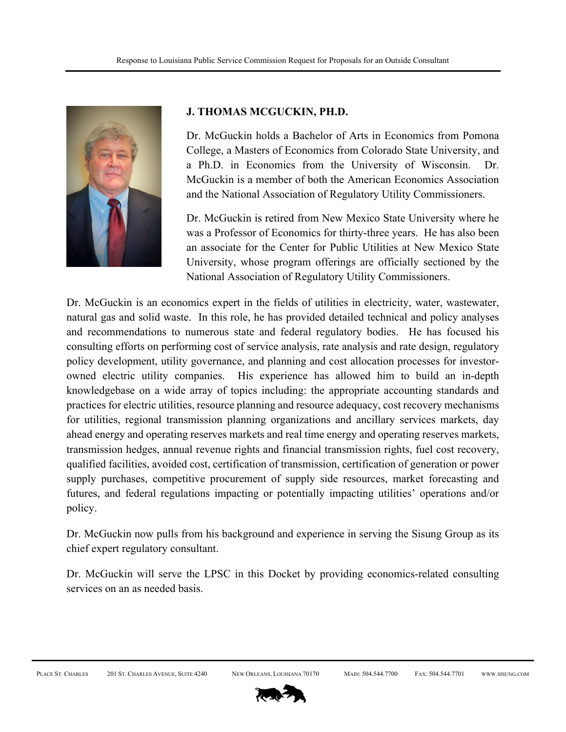

### **J. THOMAS MCGUCKIN, PH.D.**

Dr. McGuckin holds a Bachelor of Arts in Economics from Pomona College, a Masters of Economics from Colorado State University, and a Ph.D. in Economics from the University of Wisconsin. Dr. McGuckin is a member of both the American Economics Association and the National Association of Regulatory Utility Commissioners.

Dr. McGuckin is retired from New Mexico State University where he was a Professor of Economics for thirty-three years. He has also been an associate for the Center for Public Utilities at New Mexico State University, whose program offerings are officially sectioned by the National Association of Regulatory Utility Commissioners.

Dr. McGuckin is an economics expert in the fields of utilities in electricity, water, wastewater, natural gas and solid waste. In this role, he has provided detailed technical and policy analyses and recommendations to numerous state and federal regulatory bodies. He has focused his consulting efforts on performing cost of service analysis, rate analysis and rate design, regulatory policy development, utility governance, and planning and cost allocation processes for investorowned electric utility companies. His experience has allowed him to build an in-depth knowledgebase on a wide array of topics including: the appropriate accounting standards and practices for electric utilities, resource planning and resource adequacy, cost recovery mechanisms for utilities, regional transmission planning organizations and ancillary services markets, day ahead energy and operating reserves markets and real time energy and operating reserves markets, transmission hedges, annual revenue rights and financial transmission rights, fuel cost recovery, qualified facilities, avoided cost, certification of transmission, certification of generation or power supply purchases, competitive procurement of supply side resources, market forecasting and futures, and federal regulations impacting or potentially impacting utilities' operations and/or policy.

Dr. McGuckin now pulls from his background and experience in serving the Sisung Group as its chief expert regulatory consultant.

Dr. McGuckin will serve the LPSC in this Docket by providing economics-related consulting services on an as needed basis.

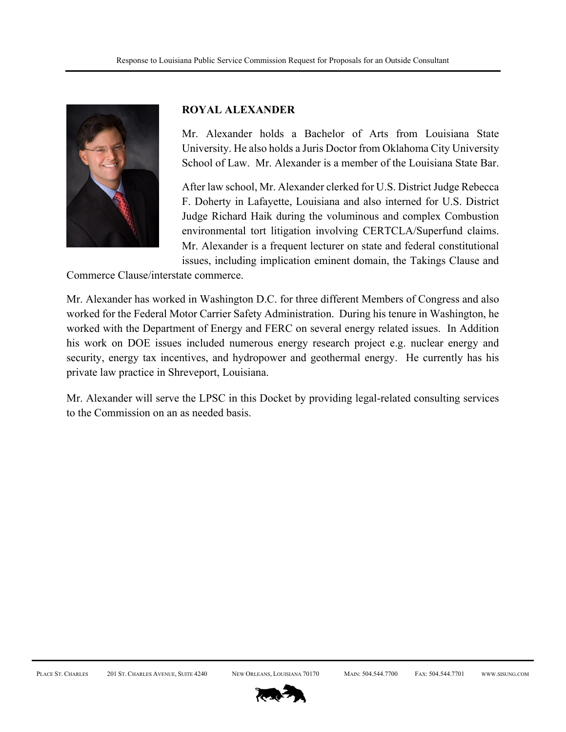

#### **ROYAL ALEXANDER**

Mr. Alexander holds a Bachelor of Arts from Louisiana State University. He also holds a Juris Doctor from Oklahoma City University School of Law. Mr. Alexander is a member of the Louisiana State Bar.

After law school, Mr. Alexander clerked for U.S. District Judge Rebecca F. Doherty in Lafayette, Louisiana and also interned for U.S. District Judge Richard Haik during the voluminous and complex Combustion environmental tort litigation involving CERTCLA/Superfund claims. Mr. Alexander is a frequent lecturer on state and federal constitutional issues, including implication eminent domain, the Takings Clause and

Commerce Clause/interstate commerce.

Mr. Alexander has worked in Washington D.C. for three different Members of Congress and also worked for the Federal Motor Carrier Safety Administration. During his tenure in Washington, he worked with the Department of Energy and FERC on several energy related issues. In Addition his work on DOE issues included numerous energy research project e.g. nuclear energy and security, energy tax incentives, and hydropower and geothermal energy. He currently has his private law practice in Shreveport, Louisiana.

Mr. Alexander will serve the LPSC in this Docket by providing legal-related consulting services to the Commission on an as needed basis.